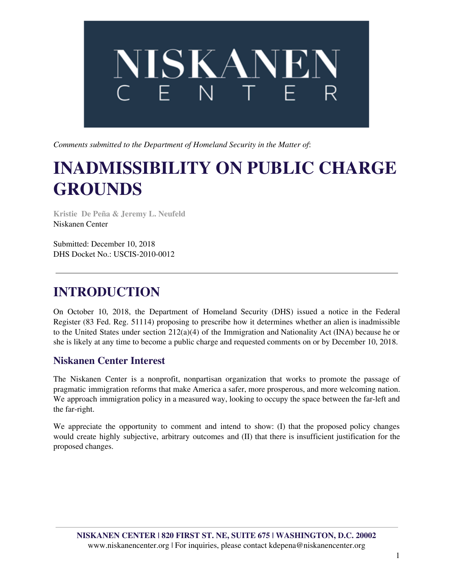

*Comments submitted to the Department of Homeland Security in the Matter of*:

# **INADMISSIBILITY ON PUBLIC CHARGE GROUNDS**

**Kristie De Peña & Jeremy L. Neufeld** Niskanen Center

Submitted: December 10, 2018 DHS Docket No.: USCIS-2010-0012

## **INTRODUCTION**

On October 10, 2018, the Department of Homeland Security (DHS) issued a notice in the Federal Register (83 Fed. Reg. 51114) proposing to prescribe how it determines whether an alien is inadmissible to the United States under section  $212(a)(4)$  of the Immigration and Nationality Act (INA) because he or she is likely at any time to become a public charge and requested comments on or by December 10, 2018.

#### **Niskanen Center Interest**

The Niskanen Center is a nonprofit, nonpartisan organization that works to promote the passage of pragmatic immigration reforms that make America a safer, more prosperous, and more welcoming nation. We approach immigration policy in a measured way, looking to occupy the space between the far-left and the far-right.

We appreciate the opportunity to comment and intend to show: (I) that the proposed policy changes would create highly subjective, arbitrary outcomes and (II) that there is insufficient justification for the proposed changes.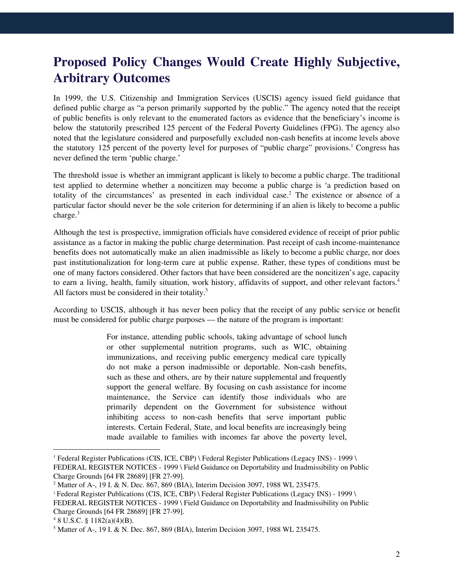### **Proposed Policy Changes Would Create Highly Subjective, Arbitrary Outcomes**

In 1999, the U.S. Citizenship and Immigration Services (USCIS) agency issued field guidance that defined public charge as "a person primarily supported by the public." The agency noted that the receipt of public benefits is only relevant to the enumerated factors as evidence that the beneficiary's income is below the statutorily prescribed 125 percent of the Federal Poverty Guidelines (FPG). The agency also noted that the legislature considered and purposefully excluded non-cash benefits at income levels above the statutory 125 percent of the poverty level for purposes of "public charge" provisions.<sup>1</sup> Congress has never defined the term 'public charge.'

The threshold issue is whether an immigrant applicant is likely to become a public charge. The traditional test applied to determine whether a noncitizen may become a public charge is 'a prediction based on totality of the circumstances' as presented in each individual case.<sup>2</sup> The existence or absence of a particular factor should never be the sole criterion for determining if an alien is likely to become a public charge. 3

Although the test is prospective, immigration officials have considered evidence of receipt of prior public assistance as a factor in making the public charge determination. Past receipt of cash income-maintenance benefits does not automatically make an alien inadmissible as likely to become a public charge, nor does past institutionalization for long-term care at public expense. Rather, these types of conditions must be one of many factors considered. Other factors that have been considered are the noncitizen's age, capacity to earn a living, health, family situation, work history, affidavits of support, and other relevant factors. 4 All factors must be considered in their totality.<sup>5</sup>

According to USCIS, although it has never been policy that the receipt of any public service or benefit must be considered for public charge purposes — the nature of the program is important:

> For instance, attending public schools, taking advantage of school lunch or other supplemental nutrition programs, such as WIC, obtaining immunizations, and receiving public emergency medical care typically do not make a person inadmissible or deportable. Non-cash benefits, such as these and others, are by their nature supplemental and frequently support the general welfare. By focusing on cash assistance for income maintenance, the Service can identify those individuals who are primarily dependent on the Government for subsistence without inhibiting access to non-cash benefits that serve important public interests. Certain Federal, State, and local benefits are increasingly being made available to families with incomes far above the poverty level,

<sup>1</sup> Federal Register Publications (CIS, ICE, CBP) \ Federal Register Publications (Legacy INS) - 1999 \ FEDERAL REGISTER NOTICES - 1999 \ Field Guidance on Deportability and Inadmissibility on Public Charge Grounds [64 FR 28689] [FR 27-99].

<sup>2</sup> Matter of A-, 19 I. & N. Dec. 867, 869 (BIA), Interim Decision 3097, 1988 WL 235475.

<sup>3</sup> Federal Register Publications (CIS, ICE, CBP) \ Federal Register Publications (Legacy INS) - 1999 \ FEDERAL REGISTER NOTICES - 1999 \ Field Guidance on Deportability and Inadmissibility on Public Charge Grounds [64 FR 28689] [FR 27-99].

 $48$  U.S.C. § 1182(a)(4)(B).

<sup>5</sup> Matter of A-, 19 I. & N. Dec. 867, 869 (BIA), Interim Decision 3097, 1988 WL 235475.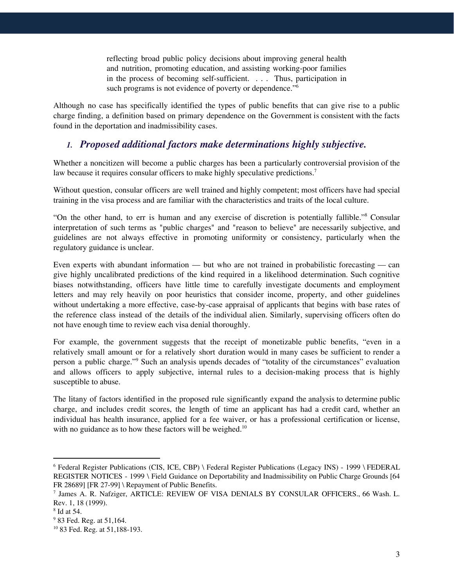reflecting broad public policy decisions about improving general health and nutrition, promoting education, and assisting working-poor families in the process of becoming self-sufficient. . . . Thus, participation in such programs is not evidence of poverty or dependence."<sup>6</sup>

Although no case has specifically identified the types of public benefits that can give rise to a public charge finding, a definition based on primary dependence on the Government is consistent with the facts found in the deportation and inadmissibility cases.

#### *1. Proposed additional factors make determinations highly subjective.*

Whether a noncitizen will become a public charges has been a particularly controversial provision of the law because it requires consular officers to make highly speculative predictions.<sup>7</sup>

Without question, consular officers are well trained and highly competent; most officers have had special training in the visa process and are familiar with the characteristics and traits of the local culture.

"On the other hand, to err is human and any exercise of discretion is potentially fallible."<sup>8</sup> Consular interpretation of such terms as "public charges" and "reason to believe" are necessarily subjective, and guidelines are not always effective in promoting uniformity or consistency, particularly when the regulatory guidance is unclear.

Even experts with abundant information — but who are not trained in probabilistic forecasting — can give highly uncalibrated predictions of the kind required in a likelihood determination. Such cognitive biases notwithstanding, officers have little time to carefully investigate documents and employment letters and may rely heavily on poor heuristics that consider income, property, and other guidelines without undertaking a more effective, case-by-case appraisal of applicants that begins with base rates of the reference class instead of the details of the individual alien. Similarly, supervising officers often do not have enough time to review each visa denial thoroughly.

For example, the government suggests that the receipt of monetizable public benefits, "even in a relatively small amount or for a relatively short duration would in many cases be sufficient to render a person a public charge."<sup>9</sup> Such an analysis upends decades of "totality of the circumstances" evaluation and allows officers to apply subjective, internal rules to a decision-making process that is highly susceptible to abuse.

The litany of factors identified in the proposed rule significantly expand the analysis to determine public charge, and includes credit scores, the length of time an applicant has had a credit card, whether an individual has health insurance, applied for a fee waiver, or has a professional certification or license, with no guidance as to how these factors will be weighed. $10$ 

<sup>6</sup> Federal Register Publications (CIS, ICE, CBP) \ Federal Register Publications (Legacy INS) - 1999 \ FEDERAL REGISTER NOTICES - 1999 \ Field Guidance on Deportability and Inadmissibility on Public Charge Grounds [64 FR 28689] [FR 27-99] \ Repayment of Public Benefits.

<sup>7</sup> James A. R. Nafziger, ARTICLE: REVIEW OF VISA DENIALS BY CONSULAR OFFICERS., 66 Wash. L. Rev. 1, 18 (1999).

<sup>8</sup> Id at 54.

<sup>9</sup> 83 Fed. Reg. at 51,164.

<sup>10</sup> 83 Fed. Reg. at 51,188-193.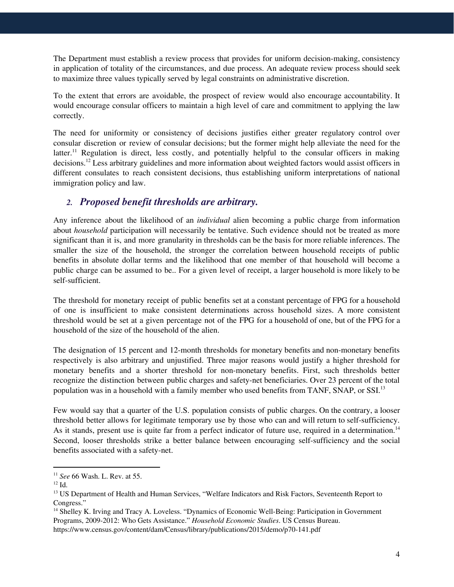The Department must establish a review process that provides for uniform decision-making, consistency in application of totality of the circumstances, and due process. An adequate review process should seek to maximize three values typically served by legal constraints on administrative discretion.

To the extent that errors are avoidable, the prospect of review would also encourage accountability. It would encourage consular officers to maintain a high level of care and commitment to applying the law correctly.

The need for uniformity or consistency of decisions justifies either greater regulatory control over consular discretion or review of consular decisions; but the former might help alleviate the need for the latter.<sup>11</sup> Regulation is direct, less costly, and potentially helpful to the consular officers in making decisions.<sup>12</sup> Less arbitrary guidelines and more information about weighted factors would assist officers in different consulates to reach consistent decisions, thus establishing uniform interpretations of national immigration policy and law.

#### *2. Proposed benefit thresholds are arbitrary.*

Any inference about the likelihood of an *individual* alien becoming a public charge from information about *household* participation will necessarily be tentative. Such evidence should not be treated as more significant than it is, and more granularity in thresholds can be the basis for more reliable inferences. The smaller the size of the household, the stronger the correlation between household receipts of public benefits in absolute dollar terms and the likelihood that one member of that household will become a public charge can be assumed to be.. For a given level of receipt, a larger household is more likely to be self-sufficient.

The threshold for monetary receipt of public benefits set at a constant percentage of FPG for a household of one is insufficient to make consistent determinations across household sizes. A more consistent threshold would be set at a given percentage not of the FPG for a household of one, but of the FPG for a household of the size of the household of the alien.

The designation of 15 percent and 12-month thresholds for monetary benefits and non-monetary benefits respectively is also arbitrary and unjustified. Three major reasons would justify a higher threshold for monetary benefits and a shorter threshold for non-monetary benefits. First, such thresholds better recognize the distinction between public charges and safety-net beneficiaries. Over 23 percent of the total population was in a household with a family member who used benefits from TANF, SNAP, or SSI.<sup>13</sup>

Few would say that a quarter of the U.S. population consists of public charges. On the contrary, a looser threshold better allows for legitimate temporary use by those who can and will return to self-sufficiency. As it stands, present use is quite far from a perfect indicator of future use, required in a determination.<sup>14</sup> Second, looser thresholds strike a better balance between encouraging self-sufficiency and the social benefits associated with a safety-net.

<sup>11</sup> *See* 66 Wash. L. Rev. at 55.

 $^{12}$  Id.

<sup>&</sup>lt;sup>13</sup> US Department of Health and Human Services, "Welfare Indicators and Risk Factors, Seventeenth Report to Congress."

<sup>14</sup> Shelley K. Irving and Tracy A. Loveless. "Dynamics of Economic Well-Being: Participation in Government Programs, 2009-2012: Who Gets Assistance." *Household Economic Studies*. US Census Bureau. https://www.census.gov/content/dam/Census/library/publications/2015/demo/p70-141.pdf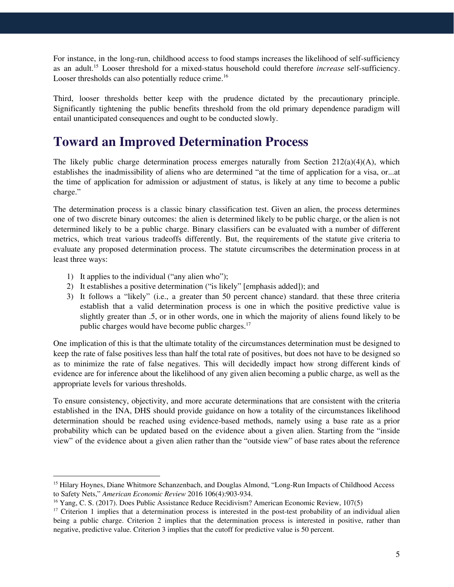For instance, in the long-run, childhood access to food stamps increases the likelihood of self-sufficiency as an adult.<sup>15</sup> Looser threshold for a mixed-status household could therefore *increase* self-sufficiency. Looser thresholds can also potentially reduce crime.<sup>16</sup>

Third, looser thresholds better keep with the prudence dictated by the precautionary principle. Significantly tightening the public benefits threshold from the old primary dependence paradigm will entail unanticipated consequences and ought to be conducted slowly.

### **Toward an Improved Determination Process**

The likely public charge determination process emerges naturally from Section  $212(a)(4)(A)$ , which establishes the inadmissibility of aliens who are determined "at the time of application for a visa, or...at the time of application for admission or adjustment of status, is likely at any time to become a public charge."

The determination process is a classic binary classification test. Given an alien, the process determines one of two discrete binary outcomes: the alien is determined likely to be public charge, or the alien is not determined likely to be a public charge. Binary classifiers can be evaluated with a number of different metrics, which treat various tradeoffs differently. But, the requirements of the statute give criteria to evaluate any proposed determination process. The statute circumscribes the determination process in at least three ways:

- 1) It applies to the individual ("any alien who");
- 2) It establishes a positive determination ("is likely" [emphasis added]); and
- 3) It follows a "likely" (i.e., a greater than 50 percent chance) standard. that these three criteria establish that a valid determination process is one in which the positive predictive value is slightly greater than .5, or in other words, one in which the majority of aliens found likely to be public charges would have become public charges.<sup>17</sup>

One implication of this is that the ultimate totality of the circumstances determination must be designed to keep the rate of false positives less than half the total rate of positives, but does not have to be designed so as to minimize the rate of false negatives. This will decidedly impact how strong different kinds of evidence are for inference about the likelihood of any given alien becoming a public charge, as well as the appropriate levels for various thresholds.

To ensure consistency, objectivity, and more accurate determinations that are consistent with the criteria established in the INA, DHS should provide guidance on how a totality of the circumstances likelihood determination should be reached using evidence-based methods, namely using a base rate as a prior probability which can be updated based on the evidence about a given alien. Starting from the "inside view" of the evidence about a given alien rather than the "outside view" of base rates about the reference

<sup>15</sup> Hilary Hoynes, Diane Whitmore Schanzenbach, and Douglas Almond, "Long-Run Impacts of Childhood Access to Safety Nets," *American Economic Review* 2016 106(4):903-934.

<sup>16</sup> Yang, C. S. (2017). Does Public Assistance Reduce Recidivism? American Economic Review, 107(5)

 $17$  Criterion 1 implies that a determination process is interested in the post-test probability of an individual alien being a public charge. Criterion 2 implies that the determination process is interested in positive, rather than negative, predictive value. Criterion 3 implies that the cutoff for predictive value is 50 percent.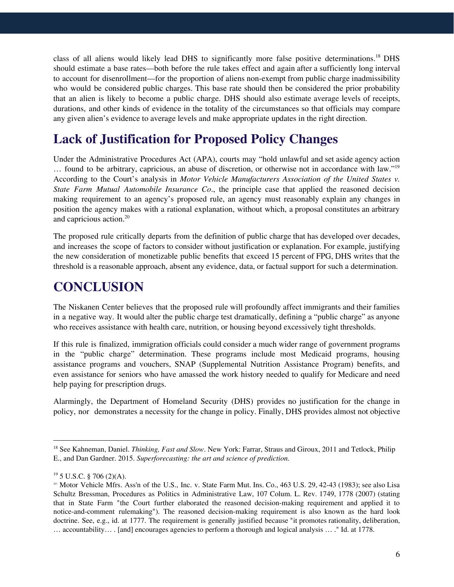class of all aliens would likely lead DHS to significantly more false positive determinations.<sup>18</sup> DHS should estimate a base rates—both before the rule takes effect and again after a sufficiently long interval to account for disenrollment—for the proportion of aliens non-exempt from public charge inadmissibility who would be considered public charges. This base rate should then be considered the prior probability that an alien is likely to become a public charge. DHS should also estimate average levels of receipts, durations, and other kinds of evidence in the totality of the circumstances so that officials may compare any given alien's evidence to average levels and make appropriate updates in the right direction.

### **Lack of Justification for Proposed Policy Changes**

Under the Administrative Procedures Act (APA), courts may "hold unlawful and set aside agency action ... found to be arbitrary, capricious, an abuse of discretion, or otherwise not in accordance with law."<sup>19</sup> According to the Court's analysis in *Motor Vehicle Manufacturers Association of the United States v. State Farm Mutual Automobile Insurance Co*., the principle case that applied the reasoned decision making requirement to an agency's proposed rule, an agency must reasonably explain any changes in position the agency makes with a rational explanation, without which, a proposal constitutes an arbitrary and capricious action. 20

The proposed rule critically departs from the definition of public charge that has developed over decades, and increases the scope of factors to consider without justification or explanation. For example, justifying the new consideration of monetizable public benefits that exceed 15 percent of FPG, DHS writes that the threshold is a reasonable approach, absent any evidence, data, or factual support for such a determination.

### **CONCLUSION**

The Niskanen Center believes that the proposed rule will profoundly affect immigrants and their families in a negative way. It would alter the public charge test dramatically, defining a "public charge" as anyone who receives assistance with health care, nutrition, or housing beyond excessively tight thresholds.

If this rule is finalized, immigration officials could consider a much wider range of government programs in the "public charge" determination. These programs include most Medicaid programs, housing assistance programs and vouchers, SNAP (Supplemental Nutrition Assistance Program) benefits, and even assistance for seniors who have amassed the work history needed to qualify for Medicare and need help paying for prescription drugs.

Alarmingly, the Department of Homeland Security (DHS) provides no justification for the change in policy, nor demonstrates a necessity for the change in policy. Finally, DHS provides almost not objective

<sup>18</sup> See Kahneman, Daniel. *Thinking, Fast and Slow*. New York: Farrar, Straus and Giroux, 2011 and Tetlock, Philip E., and Dan Gardner. 2015. *Superforecasting: the art and science of prediction.*

 $19$  5 U.S.C. § 706 (2)(A).

<sup>&</sup>lt;sup>20</sup> Motor Vehicle Mfrs. Ass'n of the U.S., Inc. v. State Farm Mut. Ins. Co., 463 U.S. 29, 42-43 (1983); see also Lisa Schultz Bressman, Procedures as Politics in Administrative Law, 107 Colum. L. Rev. 1749, 1778 (2007) (stating that in State Farm "the Court further elaborated the reasoned decision-making requirement and applied it to notice-and-comment rulemaking"). The reasoned decision-making requirement is also known as the hard look doctrine. See, e.g., id. at 1777. The requirement is generally justified because "it promotes rationality, deliberation, … accountability… . [and] encourages agencies to perform a thorough and logical analysis … ." Id. at 1778.